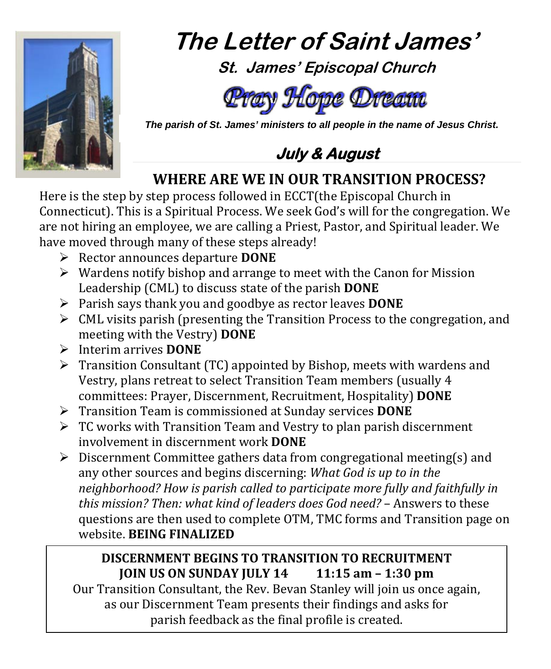

# **The Letter of Saint James' St. James' Episcopal Church**



 *The parish of St. James' ministers to all people in the name of Jesus Christ.*



# **WHERE ARE WE IN OUR TRANSITION PROCESS?**

Here is the step by step process followed in ECCT(the Episcopal Church in Connecticut). This is a Spiritual Process. We seek God's will for the congregation. We are not hiring an employee, we are calling a Priest, Pastor, and Spiritual leader. We have moved through many of these steps already!

- Rector announces departure **DONE**
- $\triangleright$  Wardens notify bishop and arrange to meet with the Canon for Mission Leadership (CML) to discuss state of the parish **DONE**
- Parish says thank you and goodbye as rector leaves **DONE**
- $\triangleright$  CML visits parish (presenting the Transition Process to the congregation, and meeting with the Vestry) **DONE**
- Interim arrives **DONE**
- $\triangleright$  Transition Consultant (TC) appointed by Bishop, meets with wardens and Vestry, plans retreat to select Transition Team members (usually 4 committees: Prayer, Discernment, Recruitment, Hospitality) **DONE**
- Transition Team is commissioned at Sunday services **DONE**
- $\triangleright$  TC works with Transition Team and Vestry to plan parish discernment involvement in discernment work **DONE**
- $\triangleright$  Discernment Committee gathers data from congregational meeting(s) and any other sources and begins discerning: *What God is up to in the neighborhood? How is parish called to participate more fully and faithfully in this mission? Then: what kind of leaders does God need?* – Answers to these questions are then used to complete OTM, TMC forms and Transition page on website. **BEING FINALIZED**

#### **DISCERNMENT BEGINS TO TRANSITION TO RECRUITMENT JOIN US ON SUNDAY JULY 14 11:15 am – 1:30 pm**

Our Transition Consultant, the Rev. Bevan Stanley will join us once again, as our Discernment Team presents their findings and asks for parish feedback as the final profile is created.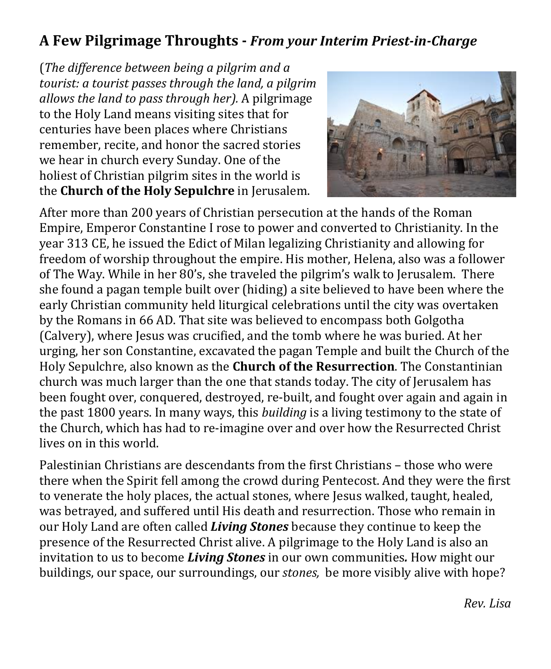#### **A Few Pilgrimage Throughts -** *From your Interim Priest-in-Charge*

(*The difference between being a pilgrim and a tourist: a tourist passes through the land, a pilgrim allows the land to pass through her).* A pilgrimage to the Holy Land means visiting sites that for centuries have been places where Christians remember, recite, and honor the sacred stories we hear in church every Sunday. One of the holiest of Christian pilgrim sites in the world is the **Church of the Holy Sepulchre** in Jerusalem.



After more than 200 years of Christian persecution at the hands of the Roman Empire, Emperor Constantine I rose to power and converted to Christianity. In the year 313 CE, he issued the Edict of Milan legalizing Christianity and allowing for freedom of worship throughout the empire. His mother, Helena, also was a follower of The Way. While in her 80's, she traveled the pilgrim's walk to Jerusalem. There she found a pagan temple built over (hiding) a site believed to have been where the early Christian community held liturgical celebrations until the city was overtaken by the Romans in 66 AD. That site was believed to encompass both Golgotha (Calvery), where Jesus was crucified, and the tomb where he was buried. At her urging, her son Constantine, excavated the pagan Temple and built the Church of the Holy Sepulchre, also known as the **Church of the Resurrection**. The Constantinian church was much larger than the one that stands today. The city of Jerusalem has been fought over, conquered, destroyed, re-built, and fought over again and again in the past 1800 years. In many ways, this *building* is a living testimony to the state of the Church, which has had to re-imagine over and over how the Resurrected Christ lives on in this world.

Palestinian Christians are descendants from the first Christians – those who were there when the Spirit fell among the crowd during Pentecost. And they were the first to venerate the holy places, the actual stones, where Jesus walked, taught, healed, was betrayed, and suffered until His death and resurrection. Those who remain in our Holy Land are often called *Living Stones* because they continue to keep the presence of the Resurrected Christ alive. A pilgrimage to the Holy Land is also an invitation to us to become *Living Stones* in our own communities*.* How might our buildings, our space, our surroundings, our *stones,* be more visibly alive with hope?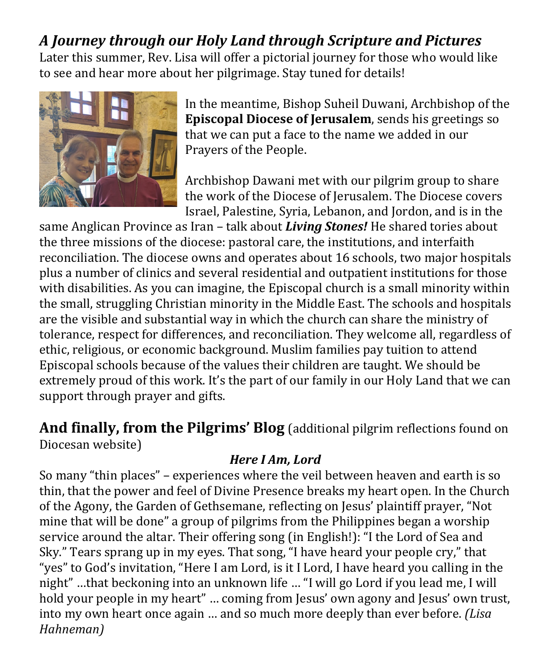# *A Journey through our Holy Land through Scripture and Pictures*

Later this summer, Rev. Lisa will offer a pictorial journey for those who would like to see and hear more about her pilgrimage. Stay tuned for details!



In the meantime, Bishop Suheil Duwani, Archbishop of the **Episcopal Diocese of Jerusalem**, sends his greetings so that we can put a face to the name we added in our Prayers of the People.

Archbishop Dawani met with our pilgrim group to share the work of the Diocese of Jerusalem. The Diocese covers Israel, Palestine, Syria, Lebanon, and Jordon, and is in the

same Anglican Province as Iran – talk about *Living Stones!* He shared tories about the three missions of the diocese: pastoral care, the institutions, and interfaith reconciliation. The diocese owns and operates about 16 schools, two major hospitals plus a number of clinics and several residential and outpatient institutions for those with disabilities. As you can imagine, the Episcopal church is a small minority within the small, struggling Christian minority in the Middle East. The schools and hospitals are the visible and substantial way in which the church can share the ministry of tolerance, respect for differences, and reconciliation. They welcome all, regardless of ethic, religious, or economic background. Muslim families pay tuition to attend Episcopal schools because of the values their children are taught. We should be extremely proud of this work. It's the part of our family in our Holy Land that we can support through prayer and gifts.

**And finally, from the Pilgrims' Blog** (additional pilgrim reflections found on Diocesan website)

*Here I Am, Lord*

So many "thin places" – experiences where the veil between heaven and earth is so thin, that the power and feel of Divine Presence breaks my heart open. In the Church of the Agony, the Garden of Gethsemane, reflecting on Jesus' plaintiff prayer, "Not mine that will be done" a group of pilgrims from the Philippines began a worship service around the altar. Their offering song (in English!): "I the Lord of Sea and Sky." Tears sprang up in my eyes. That song, "I have heard your people cry," that "yes" to God's invitation, "Here I am Lord, is it I Lord, I have heard you calling in the night" …that beckoning into an unknown life … "I will go Lord if you lead me, I will hold your people in my heart" … coming from Jesus' own agony and Jesus' own trust, into my own heart once again … and so much more deeply than ever before. *(Lisa Hahneman)*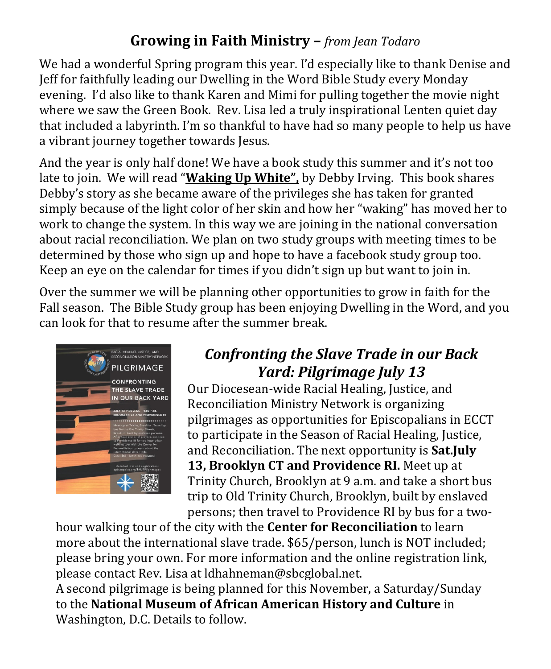# **Growing in Faith Ministry –** *from Jean Todaro*

We had a wonderful Spring program this year. I'd especially like to thank Denise and Jeff for faithfully leading our Dwelling in the Word Bible Study every Monday evening. I'd also like to thank Karen and Mimi for pulling together the movie night where we saw the Green Book. Rev. Lisa led a truly inspirational Lenten quiet day that included a labyrinth. I'm so thankful to have had so many people to help us have a vibrant journey together towards Jesus.

And the year is only half done! We have a book study this summer and it's not too late to join. We will read "**Waking Up White",** by Debby Irving. This book shares Debby's story as she became aware of the privileges she has taken for granted simply because of the light color of her skin and how her "waking" has moved her to work to change the system. In this way we are joining in the national conversation about racial reconciliation. We plan on two study groups with meeting times to be determined by those who sign up and hope to have a facebook study group too. Keep an eye on the calendar for times if you didn't sign up but want to join in.

Over the summer we will be planning other opportunities to grow in faith for the Fall season. The Bible Study group has been enjoying Dwelling in the Word, and you can look for that to resume after the summer break.



# *Confronting the Slave Trade in our Back Yard: Pilgrimage July 13*

Our Diocesean-wide Racial Healing, Justice, and Reconciliation Ministry Network is organizing pilgrimages as opportunities for Episcopalians in ECCT to participate in the Season of Racial Healing, Justice, and Reconciliation. The next opportunity is **Sat.July 13, Brooklyn CT and Providence RI.** Meet up at Trinity Church, Brooklyn at 9 a.m. and take a short bus trip to Old Trinity Church, Brooklyn, built by enslaved persons; then travel to Providence RI by bus for a two-

hour walking tour of the city with the **Center for Reconciliation** to learn more about the international slave trade. \$65/person, lunch is NOT included; please bring your own. For more information and the online registration link, please contact Rev. Lisa at ldhahneman@sbcglobal.net.

A second pilgrimage is being planned for this November, a Saturday/Sunday to the **National Museum of African American History and Culture** in Washington, D.C. Details to follow.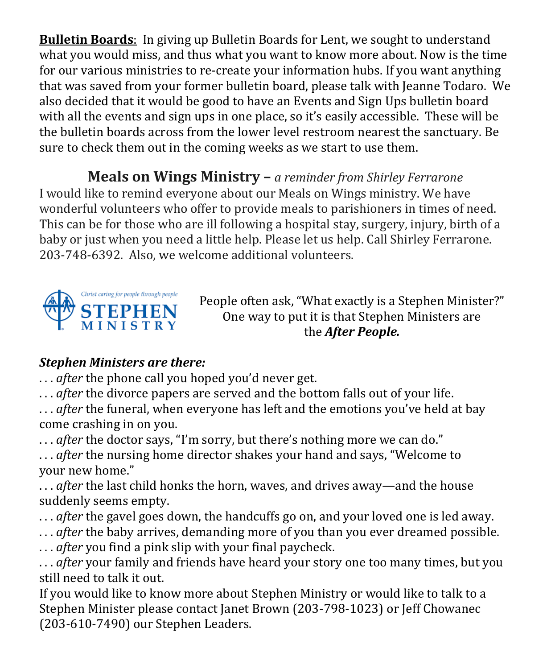**Bulletin Boards**: In giving up Bulletin Boards for Lent, we sought to understand what you would miss, and thus what you want to know more about. Now is the time for our various ministries to re-create your information hubs. If you want anything that was saved from your former bulletin board, please talk with Jeanne Todaro. We also decided that it would be good to have an Events and Sign Ups bulletin board with all the events and sign ups in one place, so it's easily accessible. These will be the bulletin boards across from the lower level restroom nearest the sanctuary. Be sure to check them out in the coming weeks as we start to use them.

**Meals on Wings Ministry –** *a reminder from Shirley Ferrarone* I would like to remind everyone about our Meals on Wings ministry. We have wonderful volunteers who offer to provide meals to parishioners in times of need. This can be for those who are ill following a hospital stay, surgery, injury, birth of a baby or just when you need a little help. Please let us help. Call Shirley Ferrarone. 203-748-6392. Also, we welcome additional volunteers.



People often ask, "What exactly is a Stephen Minister?" One way to put it is that Stephen Ministers are the *After People.*

#### *Stephen Ministers are there:*

. . . *after* the phone call you hoped you'd never get.

. . . *after* the divorce papers are served and the bottom falls out of your life.

. . . *after* the funeral, when everyone has left and the emotions you've held at bay come crashing in on you.

. . . *after* the doctor says, "I'm sorry, but there's nothing more we can do."

. . . *after* the nursing home director shakes your hand and says, "Welcome to your new home."

. . . *after* the last child honks the horn, waves, and drives away—and the house suddenly seems empty.

. . . *after* the gavel goes down, the handcuffs go on, and your loved one is led away.

- . . . *after* the baby arrives, demanding more of you than you ever dreamed possible.
- . . . *after* you find a pink slip with your final paycheck.

. . . *after* your family and friends have heard your story one too many times, but you still need to talk it out.

If you would like to know more about Stephen Ministry or would like to talk to a Stephen Minister please contact Janet Brown (203-798-1023) or Jeff Chowanec (203-610-7490) our Stephen Leaders.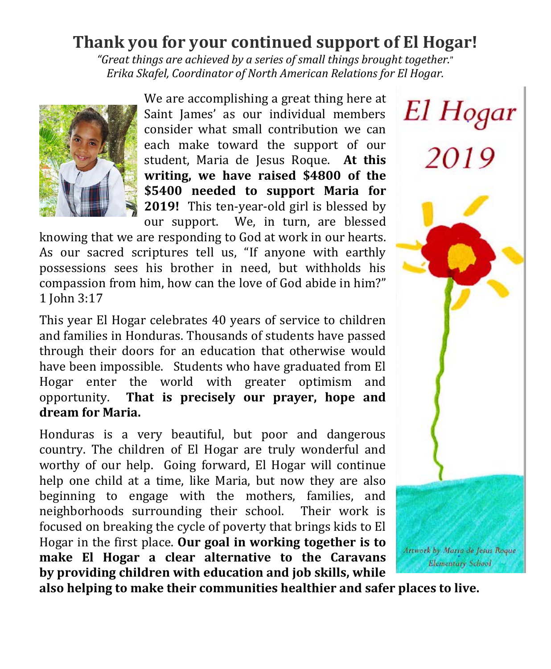# **Thank you for your continued support of El Hogar!**

*"Great things are achieved by a series of small things brought together.*" *Erika Skafel, Coordinator of North American Relations for El Hogar.*



We are accomplishing a great thing here at Saint James' as our individual members consider what small contribution we can each make toward the support of our student, Maria de Jesus Roque. **At this writing, we have raised \$4800 of the \$5400 needed to support Maria for 2019!** This ten-year-old girl is blessed by

our support. We, in turn, are blessed knowing that we are responding to God at work in our hearts. As our sacred scriptures tell us, ["If](https://biblehub.com/greek/302.htm) [anyone](https://biblehub.com/greek/3739.htm) [with](https://biblehub.com/greek/2192.htm) [earthly](https://biblehub.com/greek/2889.htm) [possessions](https://biblehub.com/greek/979.htm) [sees](https://biblehub.com/greek/2334.htm) [his](https://biblehub.com/greek/846.htm) [brother](https://biblehub.com/greek/80.htm) [in](https://biblehub.com/greek/2192.htm) [need,](https://biblehub.com/greek/5532.htm) [but](https://biblehub.com/greek/2532.htm) [withholds](https://biblehub.com/greek/2808.htm) [his](https://biblehub.com/greek/846.htm) [compassion](https://biblehub.com/greek/4698.htm) [from](https://biblehub.com/greek/575.htm) [him,](https://biblehub.com/greek/846.htm) [how](https://biblehub.com/greek/4459.htm) [can the](https://biblehub.com/greek/3588.htm) [love](https://biblehub.com/greek/26.htm) [of God](https://biblehub.com/greek/2316.htm) [abide](https://biblehub.com/greek/3306.htm) [in](https://biblehub.com/greek/1722.htm) [him?"](https://biblehub.com/greek/846.htm) 1 John 3:17

This year El Hogar celebrates 40 years of service to children and families in Honduras. Thousands of students have passed through their doors for an education that otherwise would have been impossible. Students who have graduated from El Hogar enter the world with greater optimism and opportunity. **That is precisely our prayer, hope and dream for Maria.**

Honduras is a very beautiful, but poor and dangerous country. The children of El Hogar are truly wonderful and worthy of our help. Going forward, El Hogar will continue help one child at a time, like Maria, but now they are also beginning to engage with the mothers, families, and neighborhoods surrounding their school. Their work is focused on breaking the cycle of poverty that brings kids to El Hogar in the first place. **Our goal in working together is to make El Hogar a clear alternative to the Caravans by providing children with education and job skills, while** 



**also helping to make their communities healthier and safer places to live.**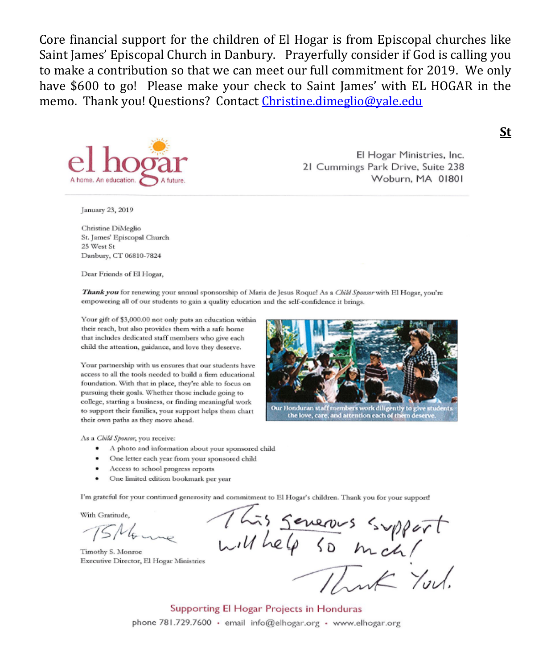Core financial support for the children of El Hogar is from Episcopal churches like Saint James' Episcopal Church in Danbury. Prayerfully consider if God is calling you to make a contribution so that we can meet our full commitment for 2019. We only have \$600 to go! Please make your check to Saint James' with EL HOGAR in the memo. Thank you! Questions? Contact Christine.dimeglio@yale.edu



El Hogar Ministries, Inc. 21 Cummings Park Drive, Suite 238 Woburn, MA 01801

**St** 

January 23, 2019

Christine DiMeglio St. James' Episcopal Church 25 West St Danbury, CT 06810-7824

Dear Friends of El Hogar,

Thank you for renewing your annual sponsorship of Maria de Jesus Roquel As a Child Sponsor with El Hogar, you're empowering all of our students to gain a quality education and the self-confidence it brings.

Your gift of \$3,000.00 not only puts an education within their reach, but also provides them with a safe home that includes dedicated staff members who give each child the attention, guidance, and love they deserve.

Your partnership with us ensures that our students have access to all the tools needed to build a firm educational foundation. With that in place, they're able to focus on pursuing their goals. Whether those include going to college, starting a business, or finding meaningful work to support their families, your support helps them chart their own paths as they move ahead.



Our Honduran staff members work diligently to give student the love, care, and attention each of them deserve.

As a Child Sponsor, you receive:

- · A photo and information about your sponsored child
- · One letter each year from your sponsored child
- Access to school progress reports
- One limited edition bookmark per year

I'm grateful for your continued generosity and commitment to El Hogar's children. Thank you for your support!

With Gratitude.

 $15M_{\odot}$ 

Timothy S. Monroe Executive Director, El Hogar Ministries

This severes support<br>will help so mich!<br>Thank You.

Supporting El Hogar Projects in Honduras phone 781.729.7600 · email info@elhogar.org · www.elhogar.org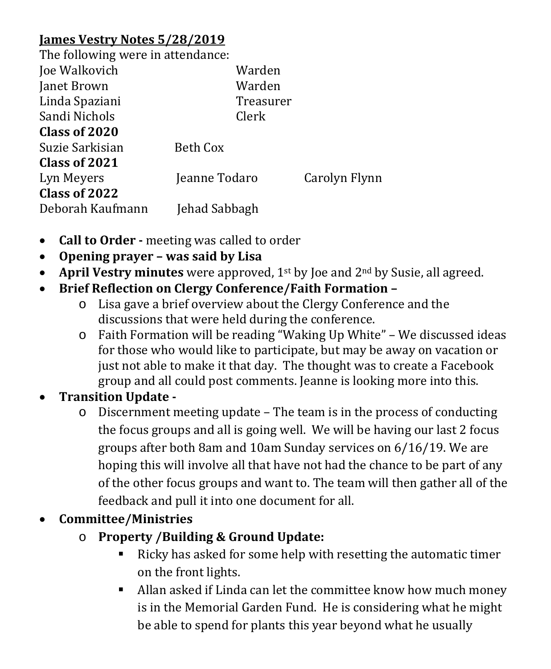#### **James Vestry Notes 5/28/2019**

The following were in attendance.

| THE TOHOWING WELE IN ACCEDUANCE. |               |               |
|----------------------------------|---------------|---------------|
| Joe Walkovich                    | Warden        |               |
| Janet Brown                      | Warden        |               |
| Linda Spaziani                   | Treasurer     |               |
| Sandi Nichols                    | Clerk         |               |
| Class of 2020                    |               |               |
| Suzie Sarkisian                  | Beth Cox      |               |
| Class of 2021                    |               |               |
| Lyn Meyers                       | Jeanne Todaro | Carolyn Flynn |
| Class of 2022                    |               |               |
| Deborah Kaufmann                 | Jehad Sabbagh |               |
|                                  |               |               |

- **Call to Order -** meeting was called to order
- **Opening prayer – was said by Lisa**
- **April Vestry minutes** were approved, 1<sup>st</sup> by Joe and 2<sup>nd</sup> by Susie, all agreed.
- **Brief Reflection on Clergy Conference/Faith Formation –**
	- o Lisa gave a brief overview about the Clergy Conference and the discussions that were held during the conference.
	- o Faith Formation will be reading "Waking Up White" We discussed ideas for those who would like to participate, but may be away on vacation or just not able to make it that day. The thought was to create a Facebook group and all could post comments. Jeanne is looking more into this.

#### • **Transition Update -**

o Discernment meeting update – The team is in the process of conducting the focus groups and all is going well. We will be having our last 2 focus groups after both 8am and 10am Sunday services on 6/16/19. We are hoping this will involve all that have not had the chance to be part of any of the other focus groups and want to. The team will then gather all of the feedback and pull it into one document for all.

#### • **Committee/Ministries**

- o **Property /Building & Ground Update:** 
	- Ricky has asked for some help with resetting the automatic timer on the front lights.
	- Allan asked if Linda can let the committee know how much money is in the Memorial Garden Fund. He is considering what he might be able to spend for plants this year beyond what he usually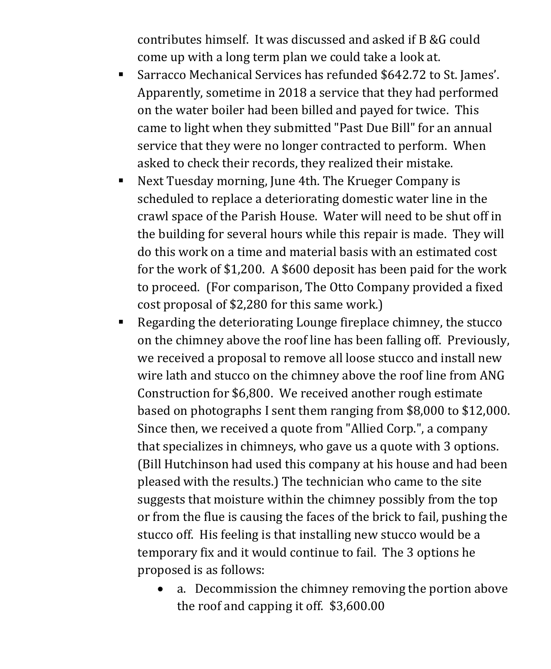contributes himself. It was discussed and asked if B &G could come up with a long term plan we could take a look at.

- Sarracco Mechanical Services has refunded \$642.72 to St. James'. Apparently, sometime in 2018 a service that they had performed on the water boiler had been billed and payed for twice. This came to light when they submitted "Past Due Bill" for an annual service that they were no longer contracted to perform. When asked to check their records, they realized their mistake.
- Next Tuesday morning, June 4th. The Krueger Company is scheduled to replace a deteriorating domestic water line in the crawl space of the Parish House. Water will need to be shut off in the building for several hours while this repair is made. They will do this work on a time and material basis with an estimated cost for the work of \$1,200. A \$600 deposit has been paid for the work to proceed. (For comparison, The Otto Company provided a fixed cost proposal of \$2,280 for this same work.)
- Regarding the deteriorating Lounge fireplace chimney, the stucco on the chimney above the roof line has been falling off. Previously, we received a proposal to remove all loose stucco and install new wire lath and stucco on the chimney above the roof line from ANG Construction for \$6,800. We received another rough estimate based on photographs I sent them ranging from \$8,000 to \$12,000. Since then, we received a quote from "Allied Corp.", a company that specializes in chimneys, who gave us a quote with 3 options. (Bill Hutchinson had used this company at his house and had been pleased with the results.) The technician who came to the site suggests that moisture within the chimney possibly from the top or from the flue is causing the faces of the brick to fail, pushing the stucco off. His feeling is that installing new stucco would be a temporary fix and it would continue to fail. The 3 options he proposed is as follows:
	- a. Decommission the chimney removing the portion above the roof and capping it off. \$3,600.00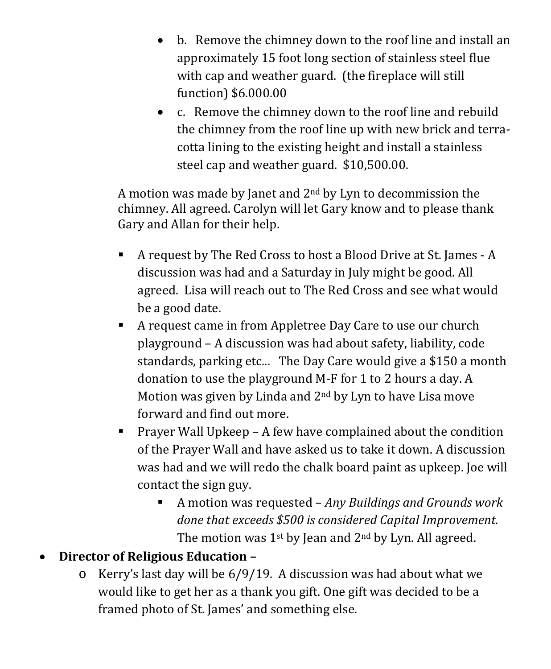- b. Remove the chimney down to the roof line and install an approximately 15 foot long section of stainless steel flue with cap and weather guard. (the fireplace will still function) \$6.000.00
- c. Remove the chimney down to the roof line and rebuild the chimney from the roof line up with new brick and terracotta lining to the existing height and install a stainless steel cap and weather guard. \$10,500.00.

A motion was made by Janet and 2nd by Lyn to decommission the chimney. All agreed. Carolyn will let Gary know and to please thank Gary and Allan for their help.

- A request by The Red Cross to host a Blood Drive at St. James A discussion was had and a Saturday in July might be good. All agreed. Lisa will reach out to The Red Cross and see what would be a good date.
- A request came in from Appletree Day Care to use our church playground – A discussion was had about safety, liability, code standards, parking etc... The Day Care would give a \$150 a month donation to use the playground M-F for 1 to 2 hours a day. A Motion was given by Linda and 2nd by Lyn to have Lisa move forward and find out more.
- **Prayer Wall Upkeep A few have complained about the condition** of the Prayer Wall and have asked us to take it down. A discussion was had and we will redo the chalk board paint as upkeep. Joe will contact the sign guy.
	- A motion was requested *Any Buildings and Grounds work done that exceeds \$500 is considered Capital Improvement.*  The motion was  $1^{st}$  by Jean and  $2^{nd}$  by Lyn. All agreed.

#### • **Director of Religious Education –**

o Kerry's last day will be 6/9/19. A discussion was had about what we would like to get her as a thank you gift. One gift was decided to be a framed photo of St. James' and something else.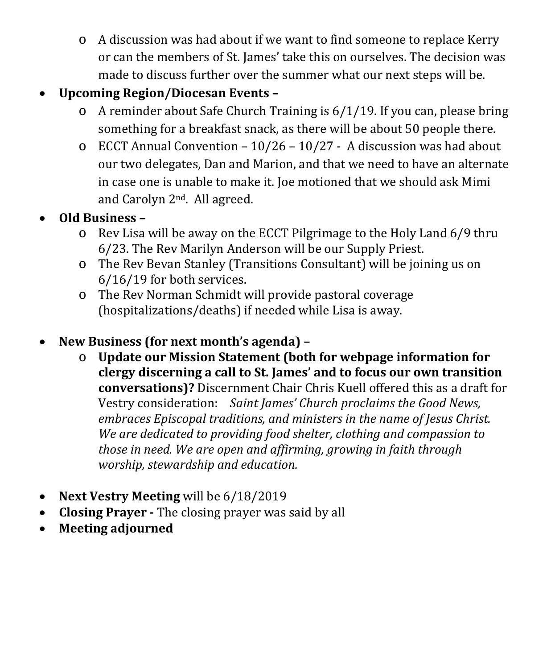o A discussion was had about if we want to find someone to replace Kerry or can the members of St. James' take this on ourselves. The decision was made to discuss further over the summer what our next steps will be.

#### • **Upcoming Region/Diocesan Events –**

- o A reminder about Safe Church Training is 6/1/19. If you can, please bring something for a breakfast snack, as there will be about 50 people there.
- $\circ$  ECCT Annual Convention 10/26 10/27 A discussion was had about our two delegates, Dan and Marion, and that we need to have an alternate in case one is unable to make it. Joe motioned that we should ask Mimi and Carolyn 2nd. All agreed.

#### • **Old Business –**

- o Rev Lisa will be away on the ECCT Pilgrimage to the Holy Land 6/9 thru 6/23. The Rev Marilyn Anderson will be our Supply Priest.
- o The Rev Bevan Stanley (Transitions Consultant) will be joining us on 6/16/19 for both services.
- o The Rev Norman Schmidt will provide pastoral coverage (hospitalizations/deaths) if needed while Lisa is away.

#### • **New Business (for next month's agenda) –**

- o **Update our Mission Statement (both for webpage information for clergy discerning a call to St. James' and to focus our own transition conversations)?** Discernment Chair Chris Kuell offered this as a draft for Vestry consideration: *Saint James' Church proclaims the Good News, embraces Episcopal traditions, and ministers in the name of Jesus Christ. We are dedicated to providing food shelter, clothing and compassion to those in need. We are open and affirming, growing in faith through worship, stewardship and education.*
- **Next Vestry Meeting** will be 6/18/2019
- **Closing Prayer -** The closing prayer was said by all
- **Meeting adjourned**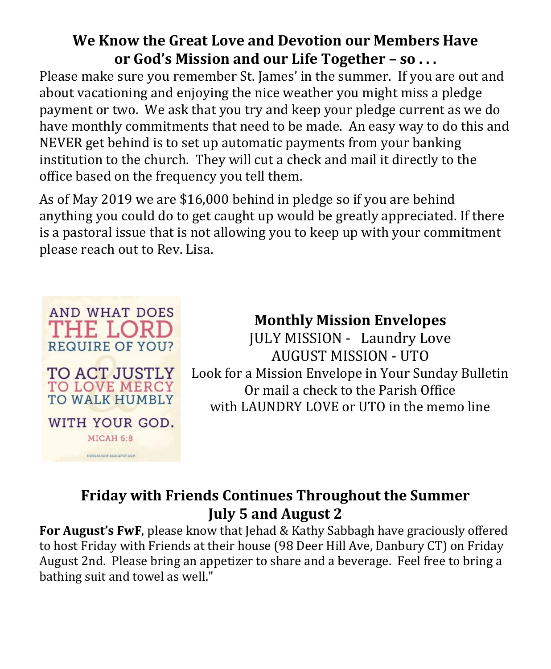#### **We Know the Great Love and Devotion our Members Have or God's Mission and our Life Together – so . . .**

Please make sure you remember St. James' in the summer. If you are out and about vacationing and enjoying the nice weather you might miss a pledge payment or two. We ask that you try and keep your pledge current as we do have monthly commitments that need to be made. An easy way to do this and NEVER get behind is to set up automatic payments from your banking institution to the church. They will cut a check and mail it directly to the office based on the frequency you tell them.

As of May 2019 we are \$16,000 behind in pledge so if you are behind anything you could do to get caught up would be greatly appreciated. If there is a pastoral issue that is not allowing you to keep up with your commitment please reach out to Rev. Lisa.



# **Monthly Mission Envelopes**

JULY MISSION - Laundry Love AUGUST MISSION - UTO Look for a Mission Envelope in Your Sunday Bulletin Or mail a check to the Parish Office with LAUNDRY LOVE or UTO in the memo line

# **Friday with Friends Continues Throughout the Summer July 5 and August 2**

**For August's FwF**, please know that Jehad & Kathy Sabbagh have graciously offered to host Friday with Friends at their house (98 Deer Hill Ave, Danbury CT) on Friday August 2nd. Please bring an appetizer to share and a beverage. Feel free to bring a bathing suit and towel as well."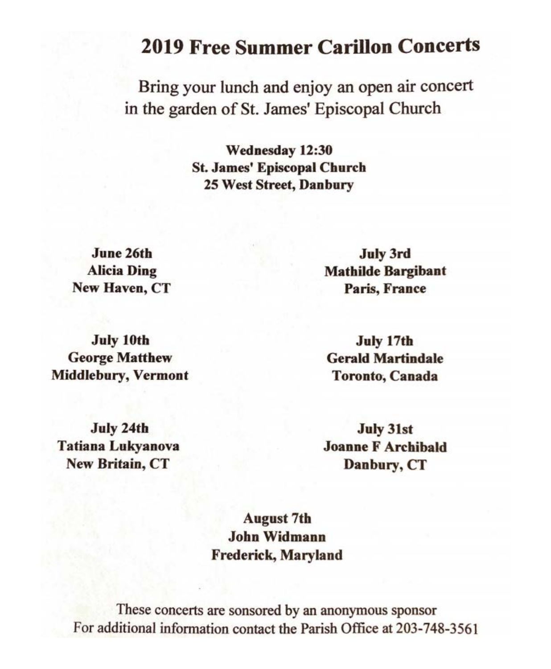# **2019 Free Summer Carillon Concerts**

Bring your lunch and enjoy an open air concert in the garden of St. James' Episcopal Church

> Wednesday 12:30 **St. James' Episcopal Church** 25 West Street, Danbury

June 26th **Alicia Ding** New Haven, CT

**July 3rd Mathilde Bargibant** Paris, France

**July 10th George Matthew Middlebury, Vermont** 

July 17th **Gerald Martindale Toronto**, Canada

July 24th **Tatiana Lukyanova New Britain, CT** 

**July 31st Joanne F Archibald** Danbury, CT

**August 7th John Widmann Frederick, Maryland** 

These concerts are sonsored by an anonymous sponsor For additional information contact the Parish Office at 203-748-3561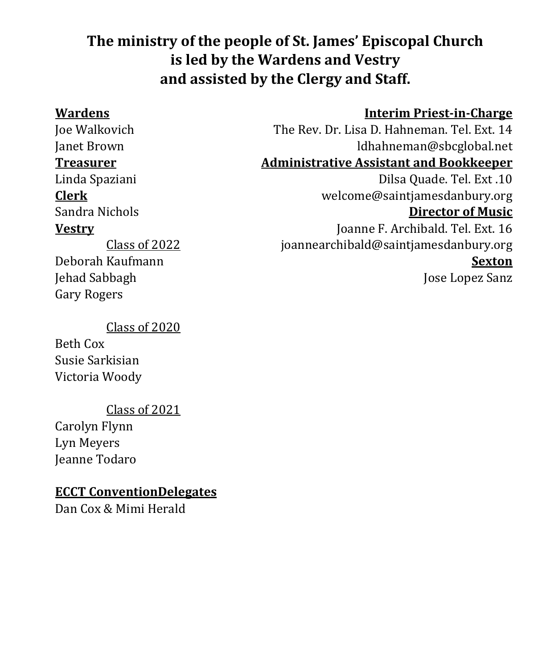# **The ministry of the people of St. James' Episcopal Church is led by the Wardens and Vestry and assisted by the Clergy and Staff.**

#### **Wardens Interim Priest-in-Charge**

Class of 2022 Deborah Kaufmann Jehad Sabbagh Gary Rogers

#### Class of 2020

Beth Cox Susie Sarkisian Victoria Woody

#### Class of 2021

Carolyn Flynn Lyn Meyers Jeanne Todaro

#### **ECCT ConventionDelegates**

Dan Cox & Mimi Herald

Joe Walkovich The Rev. Dr. Lisa D. Hahneman. Tel. Ext. 14 Janet Brown<br>Treasurer Machinistrative Assistant and Bookkeeper **Administrative Assistant and Bookkeeper** Linda Spaziani Dilsa Quade. Tel. Ext .10<br>Clerk welcome@saintiamesdanbury.org **Clerk** welcome@saintjamesdanbury.org Sandra Nichols **Director of Music Vestry** Joanne F. Archibald. Tel. Ext. 16 [joannearchibald@saintjamesdanbury.org](mailto:joannearchibald@saintjamesdanbury.org)

#### **Sexton**

Jose Lopez Sanz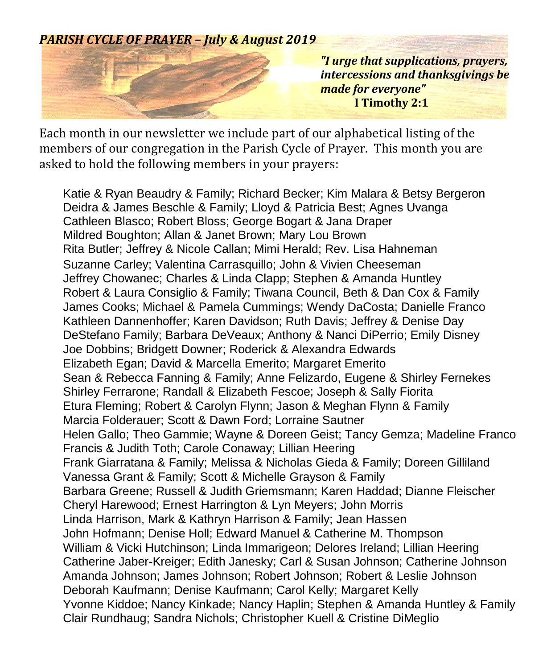#### *PARISH CYCLE OF PRAYER – July & August 2019*



*"I urge that supplications, prayers, intercessions and thanksgivings be made for everyone"*  **I Timothy 2:1**

Each month in our newsletter we include part of our alphabetical listing of the members of our congregation in the Parish Cycle of Prayer. This month you are asked to hold the following members in your prayers:

Katie & Ryan Beaudry & Family; Richard Becker; Kim Malara & Betsy Bergeron Deidra & James Beschle & Family; Lloyd & Patricia Best; Agnes Uvanga Cathleen Blasco; Robert Bloss; George Bogart & Jana Draper Mildred Boughton; Allan & Janet Brown; Mary Lou Brown Rita Butler; Jeffrey & Nicole Callan; Mimi Herald; Rev. Lisa Hahneman Suzanne Carley; Valentina Carrasquillo; John & Vivien Cheeseman Jeffrey Chowanec; Charles & Linda Clapp; Stephen & Amanda Huntley Robert & Laura Consiglio & Family; Tiwana Council, Beth & Dan Cox & Family James Cooks; Michael & Pamela Cummings; Wendy DaCosta; Danielle Franco Kathleen Dannenhoffer; Karen Davidson; Ruth Davis; Jeffrey & Denise Day DeStefano Family; Barbara DeVeaux; Anthony & Nanci DiPerrio; Emily Disney Joe Dobbins; Bridgett Downer; Roderick & Alexandra Edwards Elizabeth Egan; David & Marcella Emerito; Margaret Emerito Sean & Rebecca Fanning & Family; Anne Felizardo, Eugene & Shirley Fernekes Shirley Ferrarone; Randall & Elizabeth Fescoe; Joseph & Sally Fiorita Etura Fleming; Robert & Carolyn Flynn; Jason & Meghan Flynn & Family Marcia Folderauer; Scott & Dawn Ford; Lorraine Sautner Helen Gallo; Theo Gammie; Wayne & Doreen Geist; Tancy Gemza; Madeline Franco Francis & Judith Toth; Carole Conaway; Lillian Heering Frank Giarratana & Family; Melissa & Nicholas Gieda & Family; Doreen Gilliland Vanessa Grant & Family; Scott & Michelle Grayson & Family Barbara Greene; Russell & Judith Griemsmann; Karen Haddad; Dianne Fleischer Cheryl Harewood; Ernest Harrington & Lyn Meyers; John Morris Linda Harrison, Mark & Kathryn Harrison & Family; Jean Hassen John Hofmann; Denise Holl; Edward Manuel & Catherine M. Thompson William & Vicki Hutchinson; Linda Immarigeon; Delores Ireland; Lillian Heering Catherine Jaber-Kreiger; Edith Janesky; Carl & Susan Johnson; Catherine Johnson Amanda Johnson; James Johnson; Robert Johnson; Robert & Leslie Johnson Deborah Kaufmann; Denise Kaufmann; Carol Kelly; Margaret Kelly Yvonne Kiddoe; Nancy Kinkade; Nancy Haplin; Stephen & Amanda Huntley & Family Clair Rundhaug; Sandra Nichols; Christopher Kuell & Cristine DiMeglio